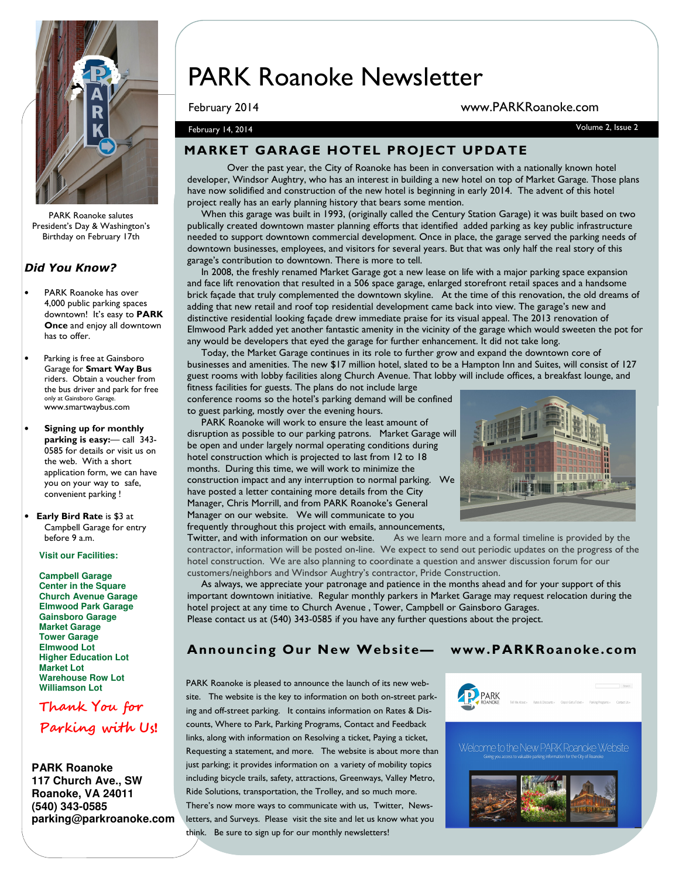

PARK Roanoke salutes President's Day & Washington's Birthday on February 17th

#### Did You Know?

- PARK Roanoke has over 4,000 public parking spaces downtown! It's easy to PARK Once and enjoy all downtown has to offer.
- Parking is free at Gainsboro Garage for Smart Way Bus riders. Obtain a voucher from the bus driver and park for free only at Gainsboro Garage. www.smartwaybus.com
- Signing up for monthly parking is easy: — call 343-0585 for details or visit us on the web. With a short application form, we can have you on your way to safe, convenient parking !
- Early Bird Rate is \$3 at Campbell Garage for entry before 9 a.m.

**Visit our Facilities:** 

**Campbell Garage Center in the Square Church Avenue Garage Elmwood Park Garage Gainsboro Garage Market Garage Tower Garage Elmwood Lot Higher Education Lot Market Lot Warehouse Row Lot Williamson Lot**

Thank You for Parking with Us!

**PARK Roanoke 117 Church Ave., SW Roanoke, VA 24011 (540) 343-0585 parking@parkroanoke.com** 

# PARK Roanoke Newsletter

#### February 2014 www.PARKRoanoke.com

February 14, 2014 Volume 2, Issue 2

### MARKET GARAGE HOTEL PROJECT UPDATE

Over the past year, the City of Roanoke has been in conversation with a nationally known hotel developer, Windsor Aughtry, who has an interest in building a new hotel on top of Market Garage. Those plans have now solidified and construction of the new hotel is beginning in early 2014. The advent of this hotel project really has an early planning history that bears some mention.

 When this garage was built in 1993, (originally called the Century Station Garage) it was built based on two publically created downtown master planning efforts that identified added parking as key public infrastructure needed to support downtown commercial development. Once in place, the garage served the parking needs of downtown businesses, employees, and visitors for several years. But that was only half the real story of this garage's contribution to downtown. There is more to tell.

 In 2008, the freshly renamed Market Garage got a new lease on life with a major parking space expansion and face lift renovation that resulted in a 506 space garage, enlarged storefront retail spaces and a handsome brick façade that truly complemented the downtown skyline. At the time of this renovation, the old dreams of adding that new retail and roof top residential development came back into view. The garage's new and distinctive residential looking façade drew immediate praise for its visual appeal. The 2013 renovation of Elmwood Park added yet another fantastic amenity in the vicinity of the garage which would sweeten the pot for any would be developers that eyed the garage for further enhancement. It did not take long.

 Today, the Market Garage continues in its role to further grow and expand the downtown core of businesses and amenities. The new \$17 million hotel, slated to be a Hampton Inn and Suites, will consist of 127 guest rooms with lobby facilities along Church Avenue. That lobby will include offices, a breakfast lounge, and fitness facilities for guests. The plans do not include large

conference rooms so the hotel's parking demand will be confined to guest parking, mostly over the evening hours.

 PARK Roanoke will work to ensure the least amount of disruption as possible to our parking patrons. Market Garage will be open and under largely normal operating conditions during hotel construction which is projected to last from 12 to 18 months. During this time, we will work to minimize the construction impact and any interruption to normal parking. We have posted a letter containing more details from the City Manager, Chris Morrill, and from PARK Roanoke's General Manager on our website. We will communicate to you frequently throughout this project with emails, announcements,



Twitter, and with information on our website. As we learn more and a formal timeline is provided by the contractor, information will be posted on-line. We expect to send out periodic updates on the progress of the hotel construction. We are also planning to coordinate a question and answer discussion forum for our customers/neighbors and Windsor Aughtry's contractor, Pride Construction.

 As always, we appreciate your patronage and patience in the months ahead and for your support of this important downtown initiative. Regular monthly parkers in Market Garage may request relocation during the hotel project at any time to Church Avenue , Tower, Campbell or Gainsboro Garages. Please contact us at (540) 343-0585 if you have any further questions about the project.

#### Announcing Our New Website— www.PARKRoanoke.com

PARK Roanoke is pleased to announce the launch of its new website. The website is the key to information on both on-street parking and off-street parking. It contains information on Rates & Discounts, Where to Park, Parking Programs, Contact and Feedback links, along with information on Resolving a ticket, Paying a ticket, Requesting a statement, and more. The website is about more than just parking; it provides information on a variety of mobility topics including bicycle trails, safety, attractions, Greenways, Valley Metro, Ride Solutions, transportation, the Trolley, and so much more. There's now more ways to communicate with us, Twitter, Newsletters, and Surveys. Please visit the site and let us know what you think. Be sure to sign up for our monthly newsletters!



Welcome to the New PARK Roanoke Website